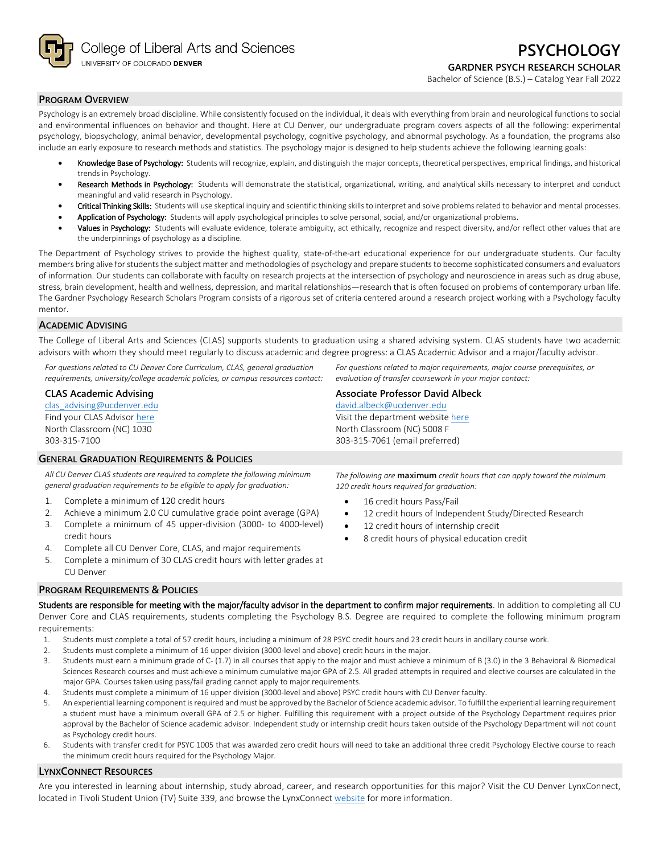College of Liberal Arts and Sciences UNIVERSITY OF COLORADO DENVER

Bachelor of Science (B.S.) – Catalog Year Fall 2022

## **PROGRAM OVERVIEW**

Psychology is an extremely broad discipline. While consistently focused on the individual, it deals with everything from brain and neurological functions to social and environmental influences on behavior and thought. Here at CU Denver, our undergraduate program covers aspects of all the following: experimental psychology, biopsychology, animal behavior, developmental psychology, cognitive psychology, and abnormal psychology. As a foundation, the programs also include an early exposure to research methods and statistics. The psychology major is designed to help students achieve the following learning goals:

- Knowledge Base of Psychology: Students will recognize, explain, and distinguish the major concepts, theoretical perspectives, empirical findings, and historical trends in Psychology.
- Research Methods in Psychology: Students will demonstrate the statistical, organizational, writing, and analytical skills necessary to interpret and conduct meaningful and valid research in Psychology.
- Critical Thinking Skills: Students will use skeptical inquiry and scientific thinking skills to interpret and solve problems related to behavior and mental processes.
- Application of Psychology: Students will apply psychological principles to solve personal, social, and/or organizational problems.
- Values in Psychology: Students will evaluate evidence, tolerate ambiguity, act ethically, recognize and respect diversity, and/or reflect other values that are the underpinnings of psychology as a discipline.

The Department of Psychology strives to provide the highest quality, state-of-the-art educational experience for our undergraduate students. Our faculty members bring alive for students the subject matter and methodologies of psychology and prepare students to become sophisticated consumers and evaluators of information. Our students can collaborate with faculty on research projects at the intersection of psychology and neuroscience in areas such as drug abuse, stress, brain development, health and wellness, depression, and marital relationships—research that is often focused on problems of contemporary urban life. The Gardner Psychology Research Scholars Program consists of a rigorous set of criteria centered around a research project working with a Psychology faculty mentor.

## **ACADEMIC ADVISING**

The College of Liberal Arts and Sciences (CLAS) supports students to graduation using a shared advising system. CLAS students have two academic advisors with whom they should meet regularly to discuss academic and degree progress: a CLAS Academic Advisor and a major/faculty advisor.

*For questions related to CU Denver Core Curriculum, CLAS, general graduation requirements, university/college academic policies, or campus resources contact:*

# **CLAS Academic Advising**

[clas\\_advising@ucdenver.edu](mailto:clas_advising@ucdenver.edu) Find your CLAS Adviso[r here](https://clas.ucdenver.edu/advising/) North Classroom (NC) 1030 303-315-7100

# **GENERAL GRADUATION REQUIREMENTS & POLICIES**

*All CU Denver CLAS students are required to complete the following minimum general graduation requirements to be eligible to apply for graduation:*

- 1. Complete a minimum of 120 credit hours
- 2. Achieve a minimum 2.0 CU cumulative grade point average (GPA)
- 3. Complete a minimum of 45 upper-division (3000- to 4000-level) credit hours
- 4. Complete all CU Denver Core, CLAS, and major requirements
- 5. Complete a minimum of 30 CLAS credit hours with letter grades at CU Denver

#### **PROGRAM REQUIREMENTS & POLICIES**

Students are responsible for meeting with the major/faculty advisor in the department to confirm major requirements. In addition to completing all CU Denver Core and CLAS requirements, students completing the Psychology B.S. Degree are required to complete the following minimum program requirements:

- 1. Students must complete a total of 57 credit hours, including a minimum of 28 PSYC credit hours and 23 credit hours in ancillary course work.
- 2. Students must complete a minimum of 16 upper division (3000-level and above) credit hours in the major.
- 3. Students must earn a minimum grade of C- (1.7) in all courses that apply to the major and must achieve a minimum of B (3.0) in the 3 Behavioral & Biomedical Sciences Research courses and must achieve a minimum cumulative major GPA of 2.5. All graded attempts in required and elective courses are calculated in the major GPA. Courses taken using pass/fail grading cannot apply to major requirements.
- 4. Students must complete a minimum of 16 upper division (3000-level and above) PSYC credit hours with CU Denver faculty.
- 5. An experiential learning component is required and must be approved by the Bachelor of Science academic advisor. To fulfill the experiential learning requirement a student must have a minimum overall GPA of 2.5 or higher. Fulfilling this requirement with a project outside of the Psychology Department requires prior approval by the Bachelor of Science academic advisor. Independent study or internship credit hours taken outside of the Psychology Department will not count as Psychology credit hours.
- Students with transfer credit for PSYC 1005 that was awarded zero credit hours will need to take an additional three credit Psychology Elective course to reach the minimum credit hours required for the Psychology Major.

# **LYNXCONNECT RESOURCES**

Are you interested in learning about internship, study abroad, career, and research opportunities for this major? Visit the CU Denver LynxConnect, located in Tivoli Student Union (TV) Suite 339, and browse the LynxConnec[t website](http://www.ucdenver.edu/lynxconnect/Pages/default.aspx) for more information.

303-315-7061 (email preferred)

*For questions related to major requirements, major course prerequisites, or* 

*The following are* **maximum** *credit hours that can apply toward the minimum 120 credit hours required for graduation:*

- 16 credit hours Pass/Fail
- 12 credit hours of Independent Study/Directed Research
- 12 credit hours of internship credit
- 8 credit hours of physical education credit

*evaluation of transfer coursework in your major contact:*

**Associate Professor David Albeck** [david.albeck@ucdenver.edu](mailto:david.albeck@ucdenver.edu) Visit the department websit[e here](https://clas.ucdenver.edu/psychology/) North Classroom (NC) 5008 F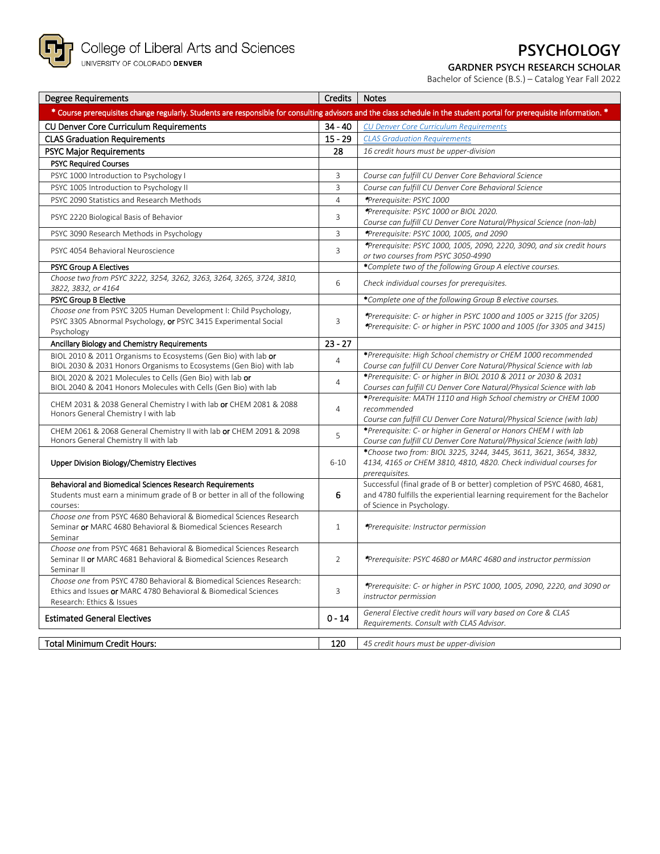

# **PSYCHOLOGY**

# **GARDNER PSYCH RESEARCH SCHOLAR**

Bachelor of Science (B.S.) – Catalog Year Fall 2022

| <b>Degree Requirements</b>                                                                                                                                             | Credits        | <b>Notes</b>                                                                                                                                                                    |
|------------------------------------------------------------------------------------------------------------------------------------------------------------------------|----------------|---------------------------------------------------------------------------------------------------------------------------------------------------------------------------------|
| * Course prerequisites change regularly. Students are responsible for consulting advisors and the class schedule in the student portal for prerequisite information. * |                |                                                                                                                                                                                 |
| <b>CU Denver Core Curriculum Requirements</b>                                                                                                                          | $34 - 40$      | <b>CU Denver Core Curriculum Requirements</b>                                                                                                                                   |
| <b>CLAS Graduation Requirements</b>                                                                                                                                    | $15 - 29$      | <b>CLAS Graduation Requirements</b>                                                                                                                                             |
| <b>PSYC Major Requirements</b>                                                                                                                                         | 28             | 16 credit hours must be upper-division                                                                                                                                          |
| <b>PSYC Required Courses</b>                                                                                                                                           |                |                                                                                                                                                                                 |
| PSYC 1000 Introduction to Psychology I                                                                                                                                 | 3              | Course can fulfill CU Denver Core Behavioral Science                                                                                                                            |
| PSYC 1005 Introduction to Psychology II                                                                                                                                | $\overline{3}$ | Course can fulfill CU Denver Core Behavioral Science                                                                                                                            |
| PSYC 2090 Statistics and Research Methods                                                                                                                              | $\overline{4}$ | *Prerequisite: PSYC 1000                                                                                                                                                        |
| PSYC 2220 Biological Basis of Behavior                                                                                                                                 | 3              | *Prerequisite: PSYC 1000 or BIOL 2020.<br>Course can fulfill CU Denver Core Natural/Physical Science (non-lab)                                                                  |
| PSYC 3090 Research Methods in Psychology                                                                                                                               | 3              | *Prerequisite: PSYC 1000, 1005, and 2090                                                                                                                                        |
| PSYC 4054 Behavioral Neuroscience                                                                                                                                      | $\overline{3}$ | *Prerequisite: PSYC 1000, 1005, 2090, 2220, 3090, and six credit hours<br>or two courses from PSYC 3050-4990                                                                    |
| <b>PSYC Group A Electives</b>                                                                                                                                          |                | *Complete two of the following Group A elective courses.                                                                                                                        |
| Choose two from PSYC 3222, 3254, 3262, 3263, 3264, 3265, 3724, 3810,<br>3822, 3832, or 4164                                                                            | $6\phantom{1}$ | Check individual courses for prerequisites.                                                                                                                                     |
| <b>PSYC Group B Elective</b>                                                                                                                                           |                | *Complete one of the following Group B elective courses.                                                                                                                        |
| Choose one from PSYC 3205 Human Development I: Child Psychology,<br>PSYC 3305 Abnormal Psychology, or PSYC 3415 Experimental Social<br>Psychology                      | 3              | *Prerequisite: C- or higher in PSYC 1000 and 1005 or 3215 (for 3205)<br>*Prerequisite: C- or higher in PSYC 1000 and 1005 (for 3305 and 3415)                                   |
| Ancillary Biology and Chemistry Requirements                                                                                                                           | $23 - 27$      |                                                                                                                                                                                 |
| BIOL 2010 & 2011 Organisms to Ecosystems (Gen Bio) with lab or<br>BIOL 2030 & 2031 Honors Organisms to Ecosystems (Gen Bio) with lab                                   | $\overline{4}$ | *Prerequisite: High School chemistry or CHEM 1000 recommended<br>Course can fulfill CU Denver Core Natural/Physical Science with lab                                            |
| BIOL 2020 & 2021 Molecules to Cells (Gen Bio) with lab or<br>BIOL 2040 & 2041 Honors Molecules with Cells (Gen Bio) with lab                                           | $\overline{4}$ | *Prerequisite: C- or higher in BIOL 2010 & 2011 or 2030 & 2031<br>Courses can fulfill CU Denver Core Natural/Physical Science with lab                                          |
| CHEM 2031 & 2038 General Chemistry I with lab or CHEM 2081 & 2088<br>Honors General Chemistry I with lab                                                               | $\overline{4}$ | *Prerequisite: MATH 1110 and High School chemistry or CHEM 1000<br>recommended<br>Course can fulfill CU Denver Core Natural/Physical Science (with lab)                         |
| CHEM 2061 & 2068 General Chemistry II with lab or CHEM 2091 & 2098<br>Honors General Chemistry II with lab                                                             | 5              | *Prerequisite: C- or higher in General or Honors CHEM I with lab<br>Course can fulfill CU Denver Core Natural/Physical Science (with lab)                                       |
| Upper Division Biology/Chemistry Electives                                                                                                                             | $6 - 10$       | *Choose two from: BIOL 3225, 3244, 3445, 3611, 3621, 3654, 3832,<br>4134, 4165 or CHEM 3810, 4810, 4820. Check individual courses for<br>prerequisites.                         |
| Behavioral and Biomedical Sciences Research Requirements<br>Students must earn a minimum grade of B or better in all of the following<br>courses:                      | 6              | Successful (final grade of B or better) completion of PSYC 4680, 4681,<br>and 4780 fulfills the experiential learning requirement for the Bachelor<br>of Science in Psychology. |
| Choose one from PSYC 4680 Behavioral & Biomedical Sciences Research<br>Seminar or MARC 4680 Behavioral & Biomedical Sciences Research<br>Seminar                       | $\mathbf{1}$   | *Prerequisite: Instructor permission                                                                                                                                            |
| Choose one from PSYC 4681 Behavioral & Biomedical Sciences Research<br>Seminar II or MARC 4681 Behavioral & Biomedical Sciences Research<br>Seminar II                 | $\overline{2}$ | *Prerequisite: PSYC 4680 or MARC 4680 and instructor permission                                                                                                                 |
| Choose one from PSYC 4780 Behavioral & Biomedical Sciences Research:<br>Ethics and Issues or MARC 4780 Behavioral & Biomedical Sciences<br>Research: Ethics & Issues   | 3              | *Prerequisite: C- or higher in PSYC 1000, 1005, 2090, 2220, and 3090 or<br>instructor permission                                                                                |
| <b>Estimated General Electives</b>                                                                                                                                     | $0 - 14$       | General Elective credit hours will vary based on Core & CLAS<br>Requirements. Consult with CLAS Advisor.                                                                        |
| <b>Total Minimum Credit Hours:</b>                                                                                                                                     | 120            | 45 credit hours must be upper-division                                                                                                                                          |